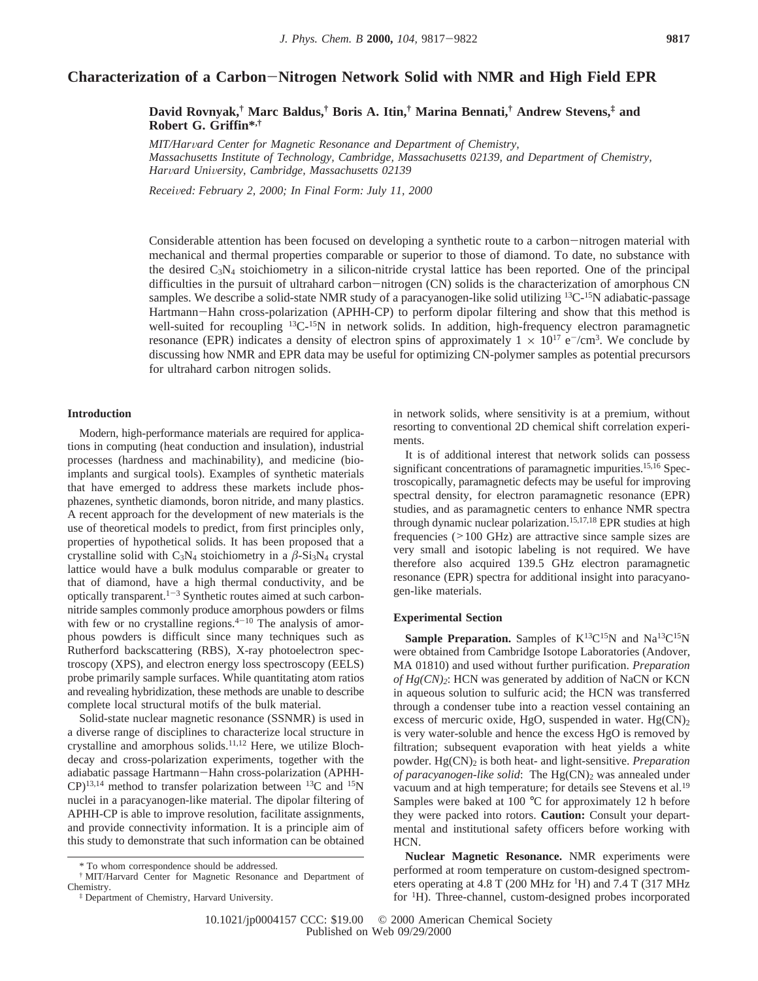# **Characterization of a Carbon**-**Nitrogen Network Solid with NMR and High Field EPR**

**David Rovnyak,† Marc Baldus,† Boris A. Itin,† Marina Bennati,† Andrew Stevens,‡ and Robert G. Griffin\*,†**

*MIT/Har*V*ard Center for Magnetic Resonance and Department of Chemistry, Massachusetts Institute of Technology, Cambridge, Massachusetts 02139, and Department of Chemistry, Har*V*ard Uni*V*ersity, Cambridge, Massachusetts 02139*

*Recei*V*ed: February 2, 2000; In Final Form: July 11, 2000*

Considerable attention has been focused on developing a synthetic route to a carbon-nitrogen material with mechanical and thermal properties comparable or superior to those of diamond. To date, no substance with the desired  $C_3N_4$  stoichiometry in a silicon-nitride crystal lattice has been reported. One of the principal difficulties in the pursuit of ultrahard carbon-nitrogen (CN) solids is the characterization of amorphous CN samples. We describe a solid-state NMR study of a paracyanogen-like solid utilizing  $^{13}C^{-15}N$  adiabatic-passage Hartmann-Hahn cross-polarization (APHH-CP) to perform dipolar filtering and show that this method is well-suited for recoupling <sup>13</sup>C-<sup>15</sup>N in network solids. In addition, high-frequency electron paramagnetic resonance (EPR) indicates a density of electron spins of approximately  $1 \times 10^{17}$  e<sup>-</sup>/cm<sup>3</sup>. We conclude by discussing how NMR and EPR data may be useful for optimizing CN-polymer samples as potential precursors for ultrahard carbon nitrogen solids.

## **Introduction**

Modern, high-performance materials are required for applications in computing (heat conduction and insulation), industrial processes (hardness and machinability), and medicine (bioimplants and surgical tools). Examples of synthetic materials that have emerged to address these markets include phosphazenes, synthetic diamonds, boron nitride, and many plastics. A recent approach for the development of new materials is the use of theoretical models to predict, from first principles only, properties of hypothetical solids. It has been proposed that a crystalline solid with  $C_3N_4$  stoichiometry in a  $\beta$ -Si<sub>3</sub>N<sub>4</sub> crystal lattice would have a bulk modulus comparable or greater to that of diamond, have a high thermal conductivity, and be optically transparent.1-<sup>3</sup> Synthetic routes aimed at such carbonnitride samples commonly produce amorphous powders or films with few or no crystalline regions. $4-10$  The analysis of amorphous powders is difficult since many techniques such as Rutherford backscattering (RBS), X-ray photoelectron spectroscopy (XPS), and electron energy loss spectroscopy (EELS) probe primarily sample surfaces. While quantitating atom ratios and revealing hybridization, these methods are unable to describe complete local structural motifs of the bulk material.

Solid-state nuclear magnetic resonance (SSNMR) is used in a diverse range of disciplines to characterize local structure in crystalline and amorphous solids.11,12 Here, we utilize Blochdecay and cross-polarization experiments, together with the adiabatic passage Hartmann-Hahn cross-polarization (APHH- $CP$ <sup>13,14</sup> method to transfer polarization between <sup>13</sup>C and <sup>15</sup>N nuclei in a paracyanogen-like material. The dipolar filtering of APHH-CP is able to improve resolution, facilitate assignments, and provide connectivity information. It is a principle aim of this study to demonstrate that such information can be obtained in network solids, where sensitivity is at a premium, without resorting to conventional 2D chemical shift correlation experiments.

It is of additional interest that network solids can possess significant concentrations of paramagnetic impurities.<sup>15,16</sup> Spectroscopically, paramagnetic defects may be useful for improving spectral density, for electron paramagnetic resonance (EPR) studies, and as paramagnetic centers to enhance NMR spectra through dynamic nuclear polarization.15,17,18 EPR studies at high frequencies (>100 GHz) are attractive since sample sizes are very small and isotopic labeling is not required. We have therefore also acquired 139.5 GHz electron paramagnetic resonance (EPR) spectra for additional insight into paracyanogen-like materials.

#### **Experimental Section**

**Sample Preparation.** Samples of  $K^{13}C^{15}N$  and  $Na^{13}C^{15}N$ were obtained from Cambridge Isotope Laboratories (Andover, MA 01810) and used without further purification. *Preparation of Hg(CN)2*: HCN was generated by addition of NaCN or KCN in aqueous solution to sulfuric acid; the HCN was transferred through a condenser tube into a reaction vessel containing an excess of mercuric oxide, HgO, suspended in water.  $Hg(CN)_2$ is very water-soluble and hence the excess HgO is removed by filtration; subsequent evaporation with heat yields a white powder. Hg(CN)<sub>2</sub> is both heat- and light-sensitive. *Preparation of paracyanogen-like solid*: The  $Hg(CN)_2$  was annealed under vacuum and at high temperature; for details see Stevens et al.<sup>19</sup> Samples were baked at 100 °C for approximately 12 h before they were packed into rotors. **Caution:** Consult your departmental and institutional safety officers before working with HCN.

**Nuclear Magnetic Resonance.** NMR experiments were performed at room temperature on custom-designed spectrometers operating at 4.8 T (200 MHz for  ${}^{1}$ H) and 7.4 T (317 MHz for 1H). Three-channel, custom-designed probes incorporated

<sup>\*</sup> To whom correspondence should be addressed.

<sup>†</sup> MIT/Harvard Center for Magnetic Resonance and Department of Chemistry.

<sup>‡</sup> Department of Chemistry, Harvard University.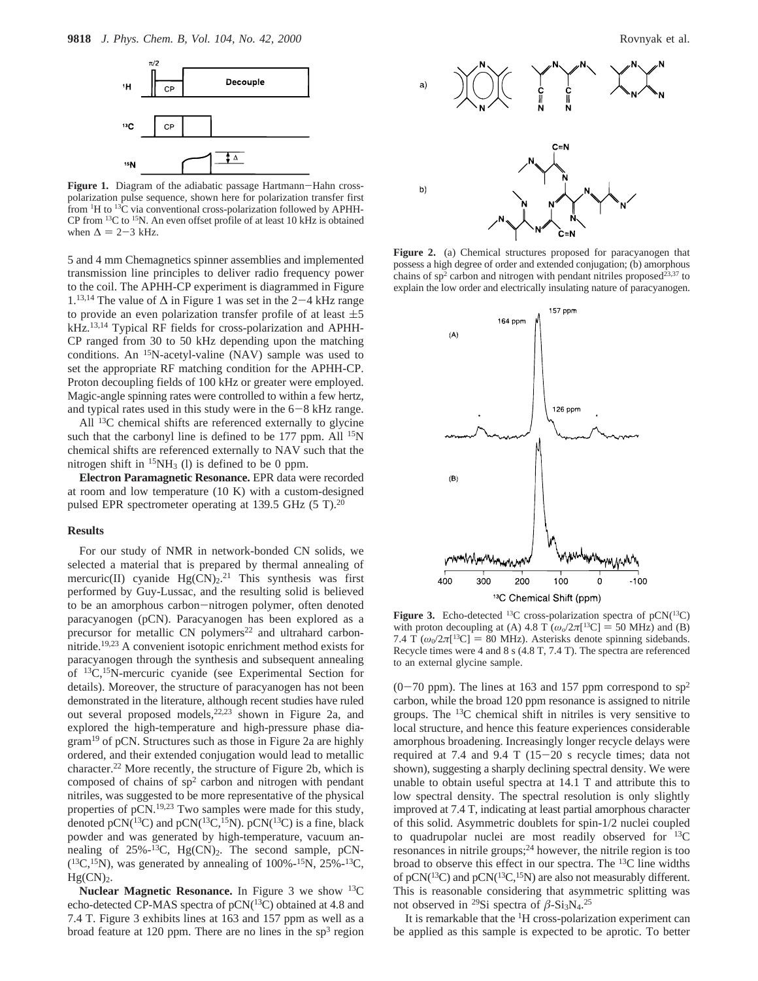

Figure 1. Diagram of the adiabatic passage Hartmann-Hahn crosspolarization pulse sequence, shown here for polarization transfer first from <sup>1</sup>H to <sup>13</sup>C via conventional cross-polarization followed by APHH-CP from 13C to 15N. An even offset profile of at least 10 kHz is obtained when  $\Delta = 2 - 3$  kHz.

5 and 4 mm Chemagnetics spinner assemblies and implemented transmission line principles to deliver radio frequency power to the coil. The APHH-CP experiment is diagrammed in Figure 1.<sup>13,14</sup> The value of  $\Delta$  in Figure 1 was set in the 2-4 kHz range to provide an even polarization transfer profile of at least  $\pm 5$ kHz.13,14 Typical RF fields for cross-polarization and APHH-CP ranged from 30 to 50 kHz depending upon the matching conditions. An 15N-acetyl-valine (NAV) sample was used to set the appropriate RF matching condition for the APHH-CP. Proton decoupling fields of 100 kHz or greater were employed. Magic-angle spinning rates were controlled to within a few hertz, and typical rates used in this study were in the 6-8 kHz range.

All <sup>13</sup>C chemical shifts are referenced externally to glycine such that the carbonyl line is defined to be 177 ppm. All <sup>15</sup>N chemical shifts are referenced externally to NAV such that the nitrogen shift in  ${}^{15}NH_3$  (l) is defined to be 0 ppm.

**Electron Paramagnetic Resonance.** EPR data were recorded at room and low temperature (10 K) with a custom-designed pulsed EPR spectrometer operating at 139.5 GHz (5 T).<sup>20</sup>

### **Results**

For our study of NMR in network-bonded CN solids, we selected a material that is prepared by thermal annealing of mercuric(II) cyanide  $Hg(CN)_2$ .<sup>21</sup> This synthesis was first performed by Guy-Lussac, and the resulting solid is believed to be an amorphous carbon-nitrogen polymer, often denoted paracyanogen (pCN). Paracyanogen has been explored as a precursor for metallic CN polymers<sup>22</sup> and ultrahard carbonnitride.19,23 A convenient isotopic enrichment method exists for paracyanogen through the synthesis and subsequent annealing of 13C,15N-mercuric cyanide (see Experimental Section for details). Moreover, the structure of paracyanogen has not been demonstrated in the literature, although recent studies have ruled out several proposed models,<sup>22,23</sup> shown in Figure 2a, and explored the high-temperature and high-pressure phase diagram<sup>19</sup> of pCN. Structures such as those in Figure 2a are highly ordered, and their extended conjugation would lead to metallic character.22 More recently, the structure of Figure 2b, which is composed of chains of  $sp<sup>2</sup>$  carbon and nitrogen with pendant nitriles, was suggested to be more representative of the physical properties of pCN.19,23 Two samples were made for this study, denoted pCN( $^{13}$ C) and pCN( $^{13}$ C, $^{15}$ N). pCN( $^{13}$ C) is a fine, black powder and was generated by high-temperature, vacuum annealing of  $25\%$ -<sup>13</sup>C, Hg(CN)<sub>2</sub>. The second sample, pCN- $(^{13}C,^{15}N)$ , was generated by annealing of 100%-<sup>15</sup>N, 25%-<sup>13</sup>C,  $Hg(CN)<sub>2</sub>$ .

**Nuclear Magnetic Resonance.** In Figure 3 we show 13C echo-detected CP-MAS spectra of pCN(<sup>13</sup>C) obtained at 4.8 and 7.4 T. Figure 3 exhibits lines at 163 and 157 ppm as well as a broad feature at 120 ppm. There are no lines in the  $sp<sup>3</sup>$  region



**Figure 2.** (a) Chemical structures proposed for paracyanogen that possess a high degree of order and extended conjugation; (b) amorphous chains of  $sp^2$  carbon and nitrogen with pendant nitriles proposed<sup>23,37</sup> to explain the low order and electrically insulating nature of paracyanogen.



**Figure 3.** Echo-detected <sup>13</sup>C cross-polarization spectra of  $pCN(^{13}C)$ with proton decoupling at (A) 4.8 T ( $\omega_0/2\pi$ [<sup>13</sup>C] = 50 MHz) and (B) 7.4 T ( $\omega_0/2\pi$ [<sup>13</sup>C] = 80 MHz). Asterisks denote spinning sidebands. Recycle times were 4 and 8 s (4.8 T, 7.4 T). The spectra are referenced to an external glycine sample.

 $(0-70 \text{ ppm})$ . The lines at 163 and 157 ppm correspond to sp<sup>2</sup> carbon, while the broad 120 ppm resonance is assigned to nitrile groups. The 13C chemical shift in nitriles is very sensitive to local structure, and hence this feature experiences considerable amorphous broadening. Increasingly longer recycle delays were required at 7.4 and 9.4 T (15-20 s recycle times; data not shown), suggesting a sharply declining spectral density. We were unable to obtain useful spectra at 14.1 T and attribute this to low spectral density. The spectral resolution is only slightly improved at 7.4 T, indicating at least partial amorphous character of this solid. Asymmetric doublets for spin-1/2 nuclei coupled to quadrupolar nuclei are most readily observed for  $^{13}$ C resonances in nitrile groups;<sup>24</sup> however, the nitrile region is too broad to observe this effect in our spectra. The 13C line widths of  $pCN(^{13}C)$  and  $pCN(^{13}C,^{15}N)$  are also not measurably different. This is reasonable considering that asymmetric splitting was not observed in <sup>29</sup>Si spectra of  $\beta$ -Si<sub>3</sub>N<sub>4</sub>.<sup>25</sup>

It is remarkable that the 1H cross-polarization experiment can be applied as this sample is expected to be aprotic. To better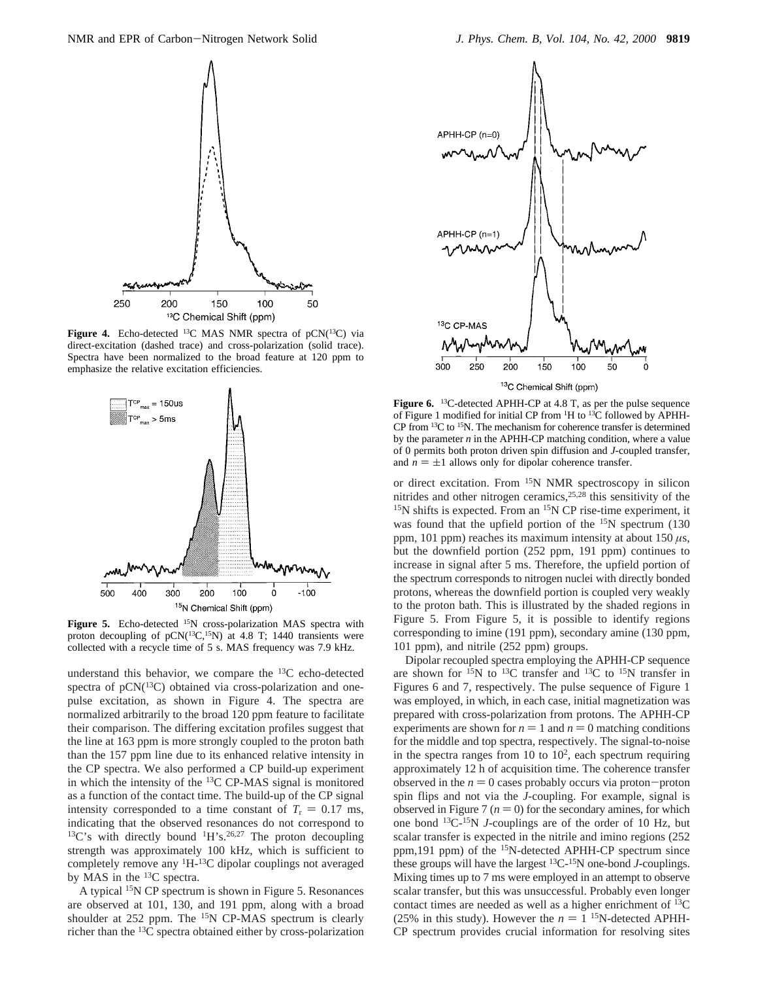

**Figure 4.** Echo-detected <sup>13</sup>C MAS NMR spectra of pCN(<sup>13</sup>C) via direct-excitation (dashed trace) and cross-polarization (solid trace). Spectra have been normalized to the broad feature at 120 ppm to emphasize the relative excitation efficiencies.



Figure 5. Echo-detected <sup>15</sup>N cross-polarization MAS spectra with proton decoupling of  $pCN(^{13}C, ^{15}N)$  at 4.8 T; 1440 transients were collected with a recycle time of 5 s. MAS frequency was 7.9 kHz.

understand this behavior, we compare the  ${}^{13}C$  echo-detected spectra of  $pCN(^{13}C)$  obtained via cross-polarization and onepulse excitation, as shown in Figure 4. The spectra are normalized arbitrarily to the broad 120 ppm feature to facilitate their comparison. The differing excitation profiles suggest that the line at 163 ppm is more strongly coupled to the proton bath than the 157 ppm line due to its enhanced relative intensity in the CP spectra. We also performed a CP build-up experiment in which the intensity of the  $^{13}$ C CP-MAS signal is monitored as a function of the contact time. The build-up of the CP signal intensity corresponded to a time constant of  $T_r = 0.17$  ms, indicating that the observed resonances do not correspond to  $13C$ 's with directly bound  $1H$ 's.<sup>26,27</sup> The proton decoupling strength was approximately 100 kHz, which is sufficient to completely remove any <sup>1</sup>H-<sup>13</sup>C dipolar couplings not averaged by MAS in the 13C spectra.

A typical 15N CP spectrum is shown in Figure 5. Resonances are observed at 101, 130, and 191 ppm, along with a broad shoulder at  $252$  ppm. The  $15N$  CP-MAS spectrum is clearly richer than the 13C spectra obtained either by cross-polarization



**Figure 6.** 13C-detected APHH-CP at 4.8 T, as per the pulse sequence of Figure 1 modified for initial CP from  ${}^{1}H$  to  ${}^{13}C$  followed by APHH-CP from  ${}^{13}C$  to  ${}^{15}N$ . The mechanism for coherence transfer is determined by the parameter *n* in the APHH-CP matching condition, where a value of 0 permits both proton driven spin diffusion and *J*-coupled transfer, and  $n = \pm 1$  allows only for dipolar coherence transfer.

or direct excitation. From <sup>15</sup>N NMR spectroscopy in silicon nitrides and other nitrogen ceramics,25,28 this sensitivity of the <sup>15</sup>N shifts is expected. From an <sup>15</sup>N CP rise-time experiment, it was found that the upfield portion of the 15N spectrum (130 ppm, 101 ppm) reaches its maximum intensity at about 150 *µ*s, but the downfield portion (252 ppm, 191 ppm) continues to increase in signal after 5 ms. Therefore, the upfield portion of the spectrum corresponds to nitrogen nuclei with directly bonded protons, whereas the downfield portion is coupled very weakly to the proton bath. This is illustrated by the shaded regions in Figure 5. From Figure 5, it is possible to identify regions corresponding to imine (191 ppm), secondary amine (130 ppm, 101 ppm), and nitrile (252 ppm) groups.

Dipolar recoupled spectra employing the APHH-CP sequence are shown for  $^{15}N$  to  $^{13}C$  transfer and  $^{13}C$  to  $^{15}N$  transfer in Figures 6 and 7, respectively. The pulse sequence of Figure 1 was employed, in which, in each case, initial magnetization was prepared with cross-polarization from protons. The APHH-CP experiments are shown for  $n = 1$  and  $n = 0$  matching conditions for the middle and top spectra, respectively. The signal-to-noise in the spectra ranges from 10 to  $10<sup>2</sup>$ , each spectrum requiring approximately 12 h of acquisition time. The coherence transfer observed in the  $n = 0$  cases probably occurs via proton-proton spin flips and not via the *J*-coupling. For example, signal is observed in Figure 7 ( $n = 0$ ) for the secondary amines, for which one bond 13C-15N *J*-couplings are of the order of 10 Hz, but scalar transfer is expected in the nitrile and imino regions (252 ppm,191 ppm) of the 15N-detected APHH-CP spectrum since these groups will have the largest 13C-15N one-bond *J*-couplings. Mixing times up to 7 ms were employed in an attempt to observe scalar transfer, but this was unsuccessful. Probably even longer contact times are needed as well as a higher enrichment of 13C (25% in this study). However the  $n = 1$  <sup>15</sup>N-detected APHH-CP spectrum provides crucial information for resolving sites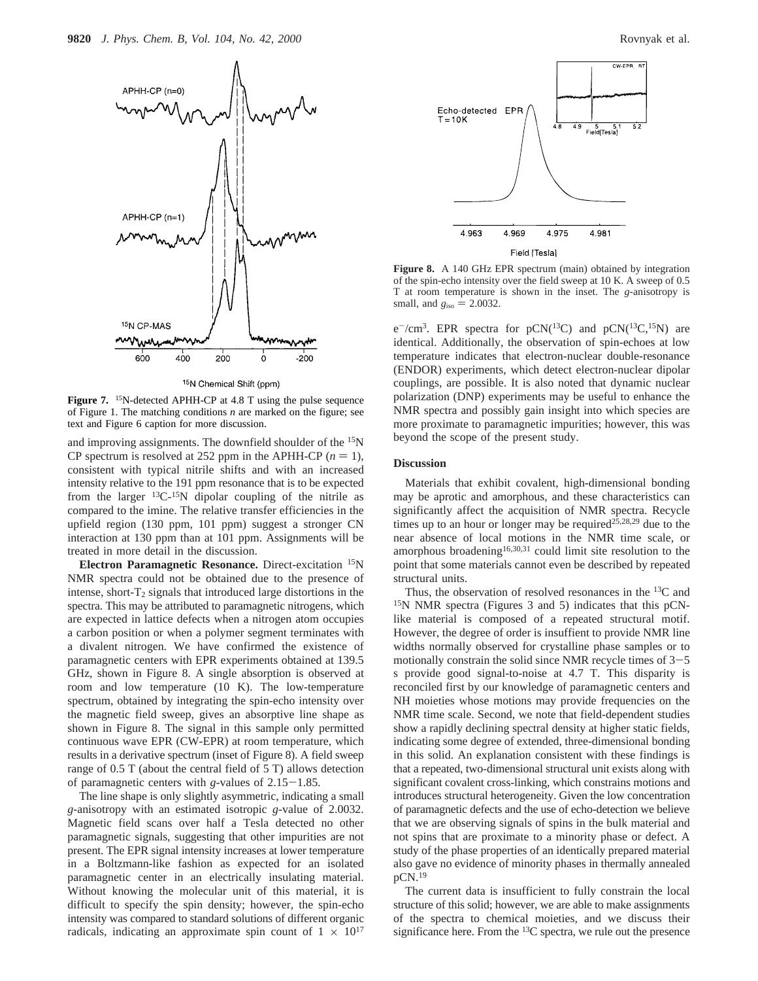

Figure 7. <sup>15</sup>N-detected APHH-CP at 4.8 T using the pulse sequence of Figure 1. The matching conditions *n* are marked on the figure; see text and Figure 6 caption for more discussion.

and improving assignments. The downfield shoulder of the <sup>15</sup>N CP spectrum is resolved at 252 ppm in the APHH-CP  $(n = 1)$ , consistent with typical nitrile shifts and with an increased intensity relative to the 191 ppm resonance that is to be expected from the larger  $^{13}C^{-15}N$  dipolar coupling of the nitrile as compared to the imine. The relative transfer efficiencies in the upfield region (130 ppm, 101 ppm) suggest a stronger CN interaction at 130 ppm than at 101 ppm. Assignments will be treated in more detail in the discussion.

**Electron Paramagnetic Resonance.** Direct-excitation 15N NMR spectra could not be obtained due to the presence of intense, short- $T_2$  signals that introduced large distortions in the spectra. This may be attributed to paramagnetic nitrogens, which are expected in lattice defects when a nitrogen atom occupies a carbon position or when a polymer segment terminates with a divalent nitrogen. We have confirmed the existence of paramagnetic centers with EPR experiments obtained at 139.5 GHz, shown in Figure 8. A single absorption is observed at room and low temperature (10 K). The low-temperature spectrum, obtained by integrating the spin-echo intensity over the magnetic field sweep, gives an absorptive line shape as shown in Figure 8. The signal in this sample only permitted continuous wave EPR (CW-EPR) at room temperature, which results in a derivative spectrum (inset of Figure 8). A field sweep range of 0.5 T (about the central field of 5 T) allows detection of paramagnetic centers with *<sup>g</sup>*-values of 2.15-1.85.

The line shape is only slightly asymmetric, indicating a small *g*-anisotropy with an estimated isotropic *g*-value of 2.0032. Magnetic field scans over half a Tesla detected no other paramagnetic signals, suggesting that other impurities are not present. The EPR signal intensity increases at lower temperature in a Boltzmann-like fashion as expected for an isolated paramagnetic center in an electrically insulating material. Without knowing the molecular unit of this material, it is difficult to specify the spin density; however, the spin-echo intensity was compared to standard solutions of different organic radicals, indicating an approximate spin count of  $1 \times 10^{17}$ 



**Figure 8.** A 140 GHz EPR spectrum (main) obtained by integration of the spin-echo intensity over the field sweep at 10 K. A sweep of 0.5 T at room temperature is shown in the inset. The *g*-anisotropy is small, and  $g_{\text{iso}} = 2.0032$ .

e<sup>-</sup>/cm<sup>3</sup>. EPR spectra for pCN( $^{13}$ C) and pCN( $^{13}$ C, $^{15}$ N) are identical. Additionally, the observation of spin-echoes at low temperature indicates that electron-nuclear double-resonance (ENDOR) experiments, which detect electron-nuclear dipolar couplings, are possible. It is also noted that dynamic nuclear polarization (DNP) experiments may be useful to enhance the NMR spectra and possibly gain insight into which species are more proximate to paramagnetic impurities; however, this was beyond the scope of the present study.

### **Discussion**

Materials that exhibit covalent, high-dimensional bonding may be aprotic and amorphous, and these characteristics can significantly affect the acquisition of NMR spectra. Recycle times up to an hour or longer may be required<sup>25,28,29</sup> due to the near absence of local motions in the NMR time scale, or amorphous broadening<sup>16,30,31</sup> could limit site resolution to the point that some materials cannot even be described by repeated structural units.

Thus, the observation of resolved resonances in the <sup>13</sup>C and 15N NMR spectra (Figures 3 and 5) indicates that this pCNlike material is composed of a repeated structural motif. However, the degree of order is insuffient to provide NMR line widths normally observed for crystalline phase samples or to motionally constrain the solid since NMR recycle times of  $3-5$ s provide good signal-to-noise at 4.7 T. This disparity is reconciled first by our knowledge of paramagnetic centers and NH moieties whose motions may provide frequencies on the NMR time scale. Second, we note that field-dependent studies show a rapidly declining spectral density at higher static fields, indicating some degree of extended, three-dimensional bonding in this solid. An explanation consistent with these findings is that a repeated, two-dimensional structural unit exists along with significant covalent cross-linking, which constrains motions and introduces structural heterogeneity. Given the low concentration of paramagnetic defects and the use of echo-detection we believe that we are observing signals of spins in the bulk material and not spins that are proximate to a minority phase or defect. A study of the phase properties of an identically prepared material also gave no evidence of minority phases in thermally annealed pCN.19

The current data is insufficient to fully constrain the local structure of this solid; however, we are able to make assignments of the spectra to chemical moieties, and we discuss their significance here. From the  $^{13}$ C spectra, we rule out the presence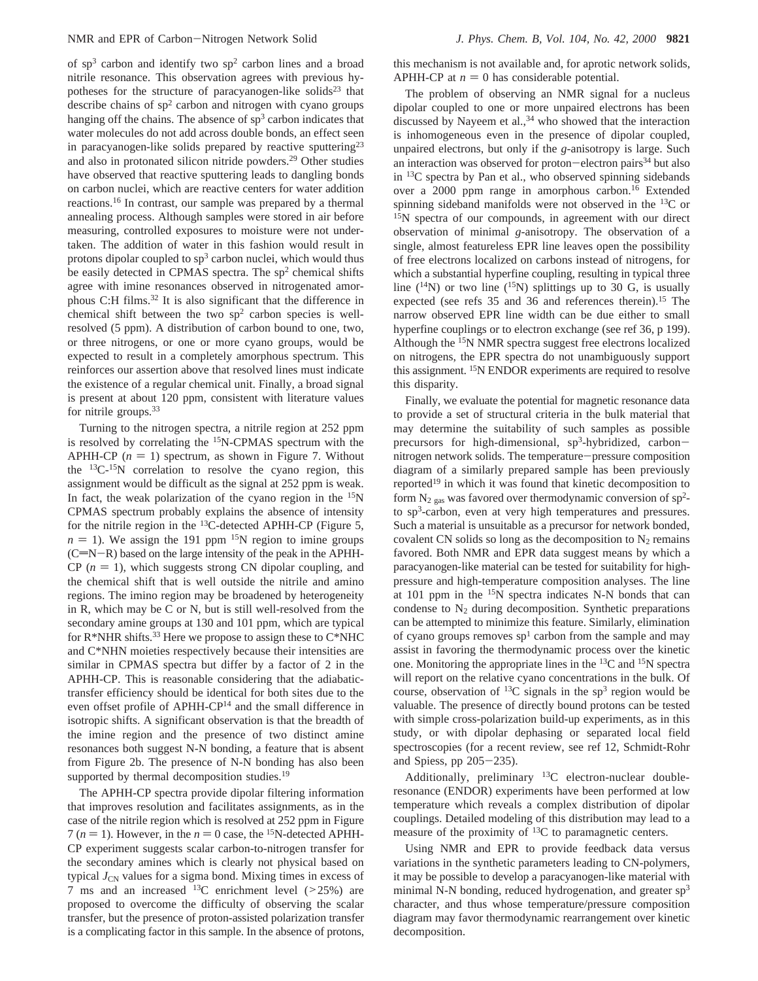of sp3 carbon and identify two sp2 carbon lines and a broad nitrile resonance. This observation agrees with previous hypotheses for the structure of paracyanogen-like solids<sup>23</sup> that describe chains of  $sp<sup>2</sup>$  carbon and nitrogen with cyano groups hanging off the chains. The absence of sp<sup>3</sup> carbon indicates that water molecules do not add across double bonds, an effect seen in paracyanogen-like solids prepared by reactive sputtering<sup>23</sup> and also in protonated silicon nitride powders.29 Other studies have observed that reactive sputtering leads to dangling bonds on carbon nuclei, which are reactive centers for water addition reactions.16 In contrast, our sample was prepared by a thermal annealing process. Although samples were stored in air before measuring, controlled exposures to moisture were not undertaken. The addition of water in this fashion would result in protons dipolar coupled to  $sp<sup>3</sup>$  carbon nuclei, which would thus be easily detected in CPMAS spectra. The sp<sup>2</sup> chemical shifts agree with imine resonances observed in nitrogenated amorphous C:H films.<sup>32</sup> It is also significant that the difference in chemical shift between the two  $sp<sup>2</sup>$  carbon species is wellresolved (5 ppm). A distribution of carbon bound to one, two, or three nitrogens, or one or more cyano groups, would be expected to result in a completely amorphous spectrum. This reinforces our assertion above that resolved lines must indicate the existence of a regular chemical unit. Finally, a broad signal is present at about 120 ppm, consistent with literature values for nitrile groups.33

Turning to the nitrogen spectra, a nitrile region at 252 ppm is resolved by correlating the <sup>15</sup>N-CPMAS spectrum with the APHH-CP  $(n = 1)$  spectrum, as shown in Figure 7. Without the  $^{13}C^{-15}N$  correlation to resolve the cyano region, this assignment would be difficult as the signal at 252 ppm is weak. In fact, the weak polarization of the cyano region in the  $15N$ CPMAS spectrum probably explains the absence of intensity for the nitrile region in the 13C-detected APHH-CP (Figure 5,  $n = 1$ ). We assign the 191 ppm <sup>15</sup>N region to imine groups  $(C=N-R)$  based on the large intensity of the peak in the APHH- $CP (n = 1)$ , which suggests strong CN dipolar coupling, and the chemical shift that is well outside the nitrile and amino regions. The imino region may be broadened by heterogeneity in R, which may be C or N, but is still well-resolved from the secondary amine groups at 130 and 101 ppm, which are typical for  $R^*NHR$  shifts.<sup>33</sup> Here we propose to assign these to  $C^*NHC$ and C\*NHN moieties respectively because their intensities are similar in CPMAS spectra but differ by a factor of 2 in the APHH-CP. This is reasonable considering that the adiabatictransfer efficiency should be identical for both sites due to the even offset profile of APHH-CP<sup>14</sup> and the small difference in isotropic shifts. A significant observation is that the breadth of the imine region and the presence of two distinct amine resonances both suggest N-N bonding, a feature that is absent from Figure 2b. The presence of N-N bonding has also been supported by thermal decomposition studies.<sup>19</sup>

The APHH-CP spectra provide dipolar filtering information that improves resolution and facilitates assignments, as in the case of the nitrile region which is resolved at 252 ppm in Figure 7 ( $n = 1$ ). However, in the  $n = 0$  case, the <sup>15</sup>N-detected APHH-CP experiment suggests scalar carbon-to-nitrogen transfer for the secondary amines which is clearly not physical based on typical  $J_{CN}$  values for a sigma bond. Mixing times in excess of 7 ms and an increased  $^{13}$ C enrichment level ( $>25\%$ ) are proposed to overcome the difficulty of observing the scalar transfer, but the presence of proton-assisted polarization transfer is a complicating factor in this sample. In the absence of protons,

this mechanism is not available and, for aprotic network solids, APHH-CP at  $n = 0$  has considerable potential.

The problem of observing an NMR signal for a nucleus dipolar coupled to one or more unpaired electrons has been discussed by Nayeem et al.,<sup>34</sup> who showed that the interaction is inhomogeneous even in the presence of dipolar coupled, unpaired electrons, but only if the *g*-anisotropy is large. Such an interaction was observed for proton-electron pairs<sup>34</sup> but also in 13C spectra by Pan et al., who observed spinning sidebands over a 2000 ppm range in amorphous carbon.<sup>16</sup> Extended spinning sideband manifolds were not observed in the 13C or 15N spectra of our compounds, in agreement with our direct observation of minimal *g*-anisotropy. The observation of a single, almost featureless EPR line leaves open the possibility of free electrons localized on carbons instead of nitrogens, for which a substantial hyperfine coupling, resulting in typical three line  $(^{14}N)$  or two line  $(^{15}N)$  splittings up to 30 G, is usually expected (see refs 35 and 36 and references therein).15 The narrow observed EPR line width can be due either to small hyperfine couplings or to electron exchange (see ref 36, p 199). Although the 15N NMR spectra suggest free electrons localized on nitrogens, the EPR spectra do not unambiguously support this assignment. 15N ENDOR experiments are required to resolve this disparity.

Finally, we evaluate the potential for magnetic resonance data to provide a set of structural criteria in the bulk material that may determine the suitability of such samples as possible precursors for high-dimensional, sp<sup>3</sup>-hybridized, carbonnitrogen network solids. The temperature-pressure composition diagram of a similarly prepared sample has been previously reported<sup>19</sup> in which it was found that kinetic decomposition to form  $N_2$  gas was favored over thermodynamic conversion of  $sp^2$ to sp3-carbon, even at very high temperatures and pressures. Such a material is unsuitable as a precursor for network bonded, covalent CN solids so long as the decomposition to  $N_2$  remains favored. Both NMR and EPR data suggest means by which a paracyanogen-like material can be tested for suitability for highpressure and high-temperature composition analyses. The line at 101 ppm in the 15N spectra indicates N-N bonds that can condense to  $N_2$  during decomposition. Synthetic preparations can be attempted to minimize this feature. Similarly, elimination of cyano groups removes  $sp<sup>1</sup>$  carbon from the sample and may assist in favoring the thermodynamic process over the kinetic one. Monitoring the appropriate lines in the 13C and 15N spectra will report on the relative cyano concentrations in the bulk. Of course, observation of  $^{13}$ C signals in the sp<sup>3</sup> region would be valuable. The presence of directly bound protons can be tested with simple cross-polarization build-up experiments, as in this study, or with dipolar dephasing or separated local field spectroscopies (for a recent review, see ref 12, Schmidt-Rohr and Spiess, pp 205-235).

Additionally, preliminary 13C electron-nuclear doubleresonance (ENDOR) experiments have been performed at low temperature which reveals a complex distribution of dipolar couplings. Detailed modeling of this distribution may lead to a measure of the proximity of 13C to paramagnetic centers.

Using NMR and EPR to provide feedback data versus variations in the synthetic parameters leading to CN-polymers, it may be possible to develop a paracyanogen-like material with minimal N-N bonding, reduced hydrogenation, and greater sp<sup>3</sup> character, and thus whose temperature/pressure composition diagram may favor thermodynamic rearrangement over kinetic decomposition.